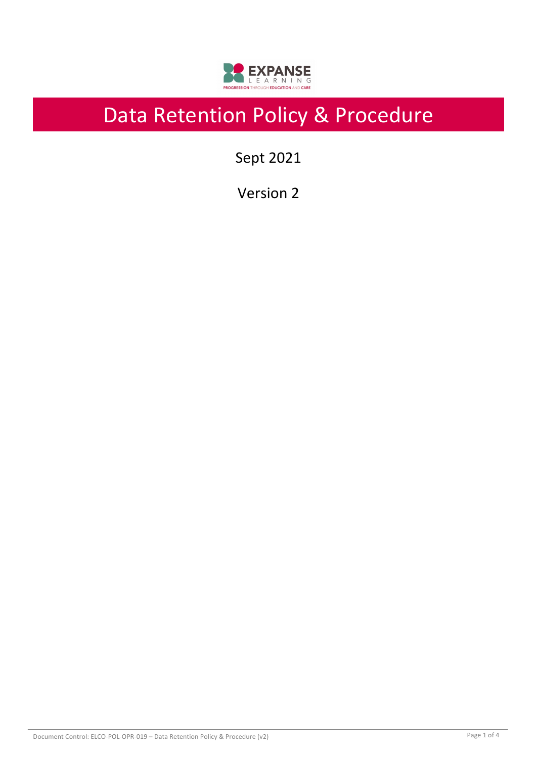

# Data Retention Policy & Procedure

Sept 2021

Version 2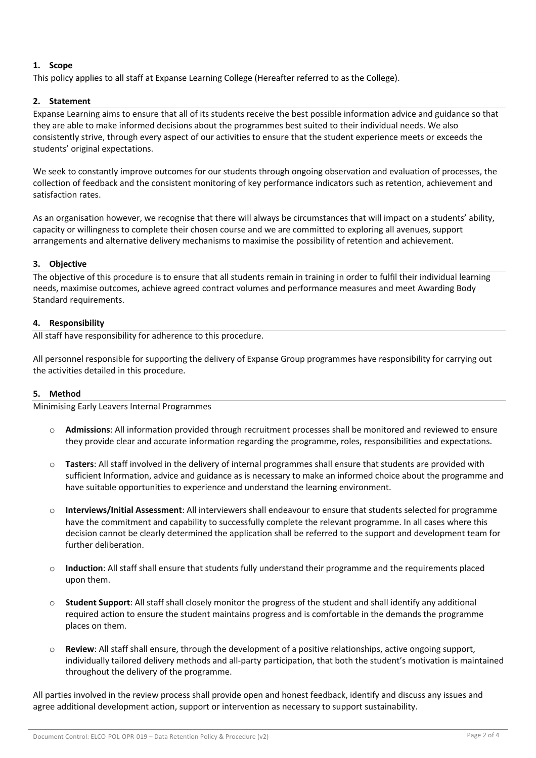# **1. Scope**

This policy applies to all staff at Expanse Learning College (Hereafter referred to as the College).

# **2. Statement**

Expanse Learning aims to ensure that all of its students receive the best possible information advice and guidance so that they are able to make informed decisions about the programmes best suited to their individual needs. We also consistently strive, through every aspect of our activities to ensure that the student experience meets or exceeds the students' original expectations.

We seek to constantly improve outcomes for our students through ongoing observation and evaluation of processes, the collection of feedback and the consistent monitoring of key performance indicators such as retention, achievement and satisfaction rates.

As an organisation however, we recognise that there will always be circumstances that will impact on a students' ability, capacity or willingness to complete their chosen course and we are committed to exploring all avenues, support arrangements and alternative delivery mechanisms to maximise the possibility of retention and achievement.

## **3. Objective**

The objective of this procedure is to ensure that all students remain in training in order to fulfil their individual learning needs, maximise outcomes, achieve agreed contract volumes and performance measures and meet Awarding Body Standard requirements.

## **4. Responsibility**

All staff have responsibility for adherence to this procedure.

All personnel responsible for supporting the delivery of Expanse Group programmes have responsibility for carrying out the activities detailed in this procedure.

## **5. Method**

Minimising Early Leavers Internal Programmes

- o **Admissions**: All information provided through recruitment processes shall be monitored and reviewed to ensure they provide clear and accurate information regarding the programme, roles, responsibilities and expectations.
- o **Tasters**: All staff involved in the delivery of internal programmes shall ensure that students are provided with sufficient Information, advice and guidance as is necessary to make an informed choice about the programme and have suitable opportunities to experience and understand the learning environment.
- o **Interviews/Initial Assessment**: All interviewers shall endeavour to ensure that students selected for programme have the commitment and capability to successfully complete the relevant programme. In all cases where this decision cannot be clearly determined the application shall be referred to the support and development team for further deliberation.
- o **Induction**: All staff shall ensure that students fully understand their programme and the requirements placed upon them.
- o **Student Support**: All staff shall closely monitor the progress of the student and shall identify any additional required action to ensure the student maintains progress and is comfortable in the demands the programme places on them.
- Review: All staff shall ensure, through the development of a positive relationships, active ongoing support, individually tailored delivery methods and all-party participation, that both the student's motivation is maintained throughout the delivery of the programme.

All parties involved in the review process shall provide open and honest feedback, identify and discuss any issues and agree additional development action, support or intervention as necessary to support sustainability.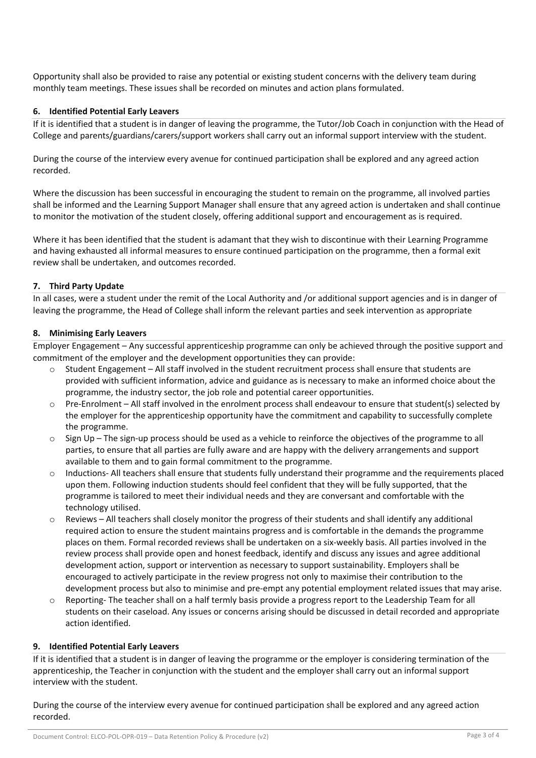Opportunity shall also be provided to raise any potential or existing student concerns with the delivery team during monthly team meetings. These issues shall be recorded on minutes and action plans formulated.

#### **6. Identified Potential Early Leavers**

If it is identified that a student is in danger of leaving the programme, the Tutor/Job Coach in conjunction with the Head of College and parents/guardians/carers/support workers shall carry out an informal support interview with the student.

During the course of the interview every avenue for continued participation shall be explored and any agreed action recorded.

Where the discussion has been successful in encouraging the student to remain on the programme, all involved parties shall be informed and the Learning Support Manager shall ensure that any agreed action is undertaken and shall continue to monitor the motivation of the student closely, offering additional support and encouragement as is required.

Where it has been identified that the student is adamant that they wish to discontinue with their Learning Programme and having exhausted all informal measures to ensure continued participation on the programme, then a formal exit review shall be undertaken, and outcomes recorded.

#### **7. Third Party Update**

In all cases, were a student under the remit of the Local Authority and /or additional support agencies and is in danger of leaving the programme, the Head of College shall inform the relevant parties and seek intervention as appropriate

#### **8. Minimising Early Leavers**

Employer Engagement – Any successful apprenticeship programme can only be achieved through the positive support and commitment of the employer and the development opportunities they can provide:

- o Student Engagement All staff involved in the student recruitment process shall ensure that students are provided with sufficient information, advice and guidance as is necessary to make an informed choice about the programme, the industry sector, the job role and potential career opportunities.
- $\circ$  Pre-Enrolment All staff involved in the enrolment process shall endeavour to ensure that student(s) selected by the employer for the apprenticeship opportunity have the commitment and capability to successfully complete the programme.
- $\circ$  Sign Up The sign-up process should be used as a vehicle to reinforce the objectives of the programme to all parties, to ensure that all parties are fully aware and are happy with the delivery arrangements and support available to them and to gain formal commitment to the programme.
- o Inductions- All teachers shall ensure that students fully understand their programme and the requirements placed upon them. Following induction students should feel confident that they will be fully supported, that the programme is tailored to meet their individual needs and they are conversant and comfortable with the technology utilised.
- o Reviews All teachers shall closely monitor the progress of their students and shall identify any additional required action to ensure the student maintains progress and is comfortable in the demands the programme places on them. Formal recorded reviews shall be undertaken on a six-weekly basis. All parties involved in the review process shall provide open and honest feedback, identify and discuss any issues and agree additional development action, support or intervention as necessary to support sustainability. Employers shall be encouraged to actively participate in the review progress not only to maximise their contribution to the development process but also to minimise and pre-empt any potential employment related issues that may arise.
- o Reporting- The teacher shall on a half termly basis provide a progress report to the Leadership Team for all students on their caseload. Any issues or concerns arising should be discussed in detail recorded and appropriate action identified.

#### **9. Identified Potential Early Leavers**

If it is identified that a student is in danger of leaving the programme or the employer is considering termination of the apprenticeship, the Teacher in conjunction with the student and the employer shall carry out an informal support interview with the student.

During the course of the interview every avenue for continued participation shall be explored and any agreed action recorded.